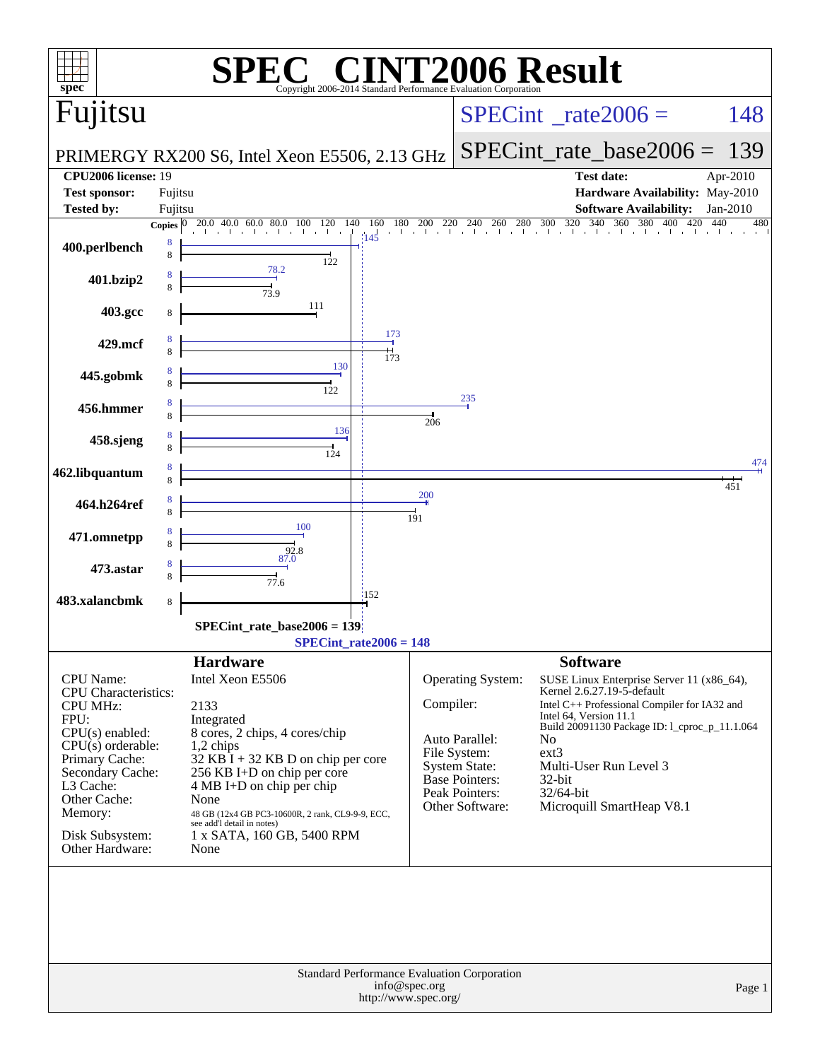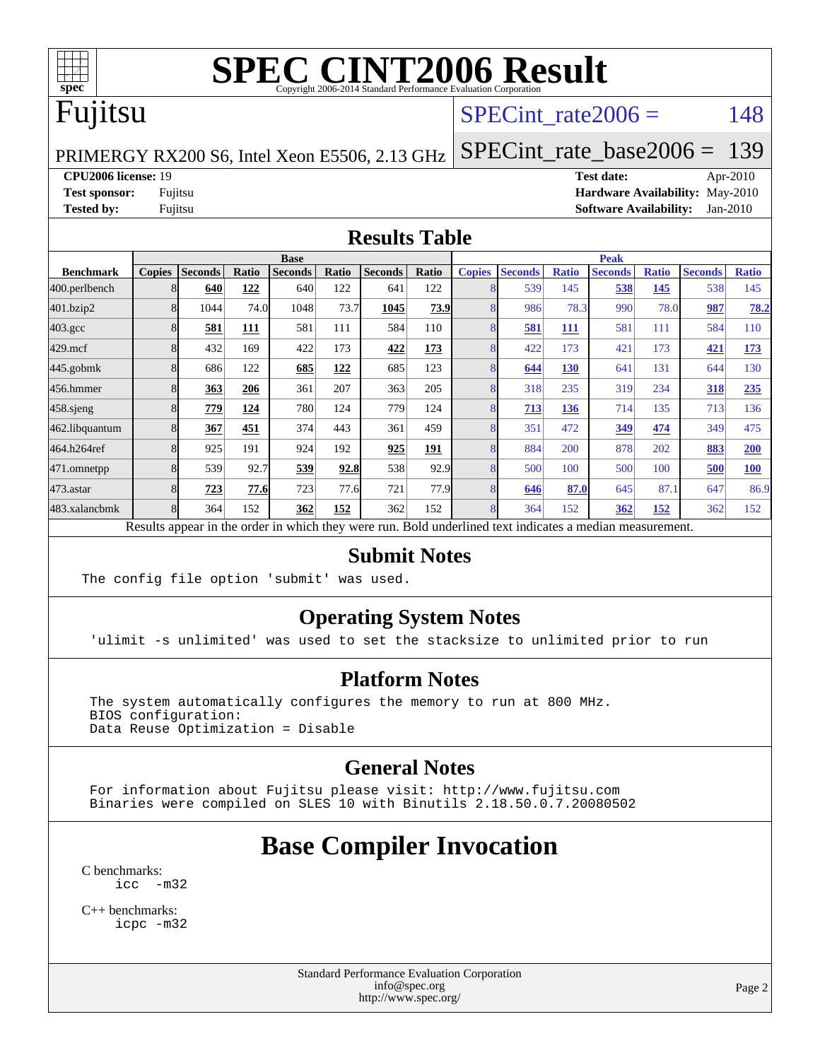

### Fujitsu

#### SPECint rate $2006 = 148$

[SPECint\\_rate\\_base2006 =](http://www.spec.org/auto/cpu2006/Docs/result-fields.html#SPECintratebase2006) 139

#### PRIMERGY RX200 S6, Intel Xeon E5506, 2.13 GHz

**[CPU2006 license:](http://www.spec.org/auto/cpu2006/Docs/result-fields.html#CPU2006license)** 19 **[Test date:](http://www.spec.org/auto/cpu2006/Docs/result-fields.html#Testdate)** Apr-2010

**[Test sponsor:](http://www.spec.org/auto/cpu2006/Docs/result-fields.html#Testsponsor)** Fujitsu **[Hardware Availability:](http://www.spec.org/auto/cpu2006/Docs/result-fields.html#HardwareAvailability)** May-2010 **[Tested by:](http://www.spec.org/auto/cpu2006/Docs/result-fields.html#Testedby)** Fujitsu **[Software Availability:](http://www.spec.org/auto/cpu2006/Docs/result-fields.html#SoftwareAvailability)** Jan-2010

#### **[Results Table](http://www.spec.org/auto/cpu2006/Docs/result-fields.html#ResultsTable)**

|                    | <b>Base</b>   |                |       |                |       |                |            | <b>Peak</b>   |                |              |                |              |                |              |
|--------------------|---------------|----------------|-------|----------------|-------|----------------|------------|---------------|----------------|--------------|----------------|--------------|----------------|--------------|
| <b>Benchmark</b>   | <b>Copies</b> | <b>Seconds</b> | Ratio | <b>Seconds</b> | Ratio | <b>Seconds</b> | Ratio      | <b>Copies</b> | <b>Seconds</b> | <b>Ratio</b> | <b>Seconds</b> | <b>Ratio</b> | <b>Seconds</b> | <b>Ratio</b> |
| 400.perlbench      |               | 640            | 122   | 640            | 122   | 641            | 122        |               | 539            | 145          | 538            | 145          | 538            | 145          |
| 401.bzip2          |               | 1044           | 74.0  | 1048           | 73.7  | 1045           | 73.9       |               | 986            | 78.3         | 990            | 78.0         | 987            | 78.2         |
| $403.\mathrm{gcc}$ |               | 581            | 111   | 581            | 111   | 584            | 110        |               | 581            | 111          | 581            | 111          | 584            | 110          |
| 429.mcf            |               | 432            | 169   | 422            | 173   | 422            | <u>173</u> |               | 422            | 173          | 421            | 173          | 421            | 173          |
| $445$ .gobmk       |               | 686            | 122   | 685            | 122   | 685            | 123        |               | 644            | 130          | 641            | 131          | 644            | 130          |
| 456.hmmer          |               | 363            | 206   | 361            | 207   | 363            | 205        |               | 318            | 235          | 319            | 234          | 318            | 235          |
| $458$ .sjeng       |               | 779            | 124   | 780            | 124   | 779            | 124        |               | 713            | 136          | 714            | 135          | 713            | 136          |
| 462.libquantum     |               | 367            | 451   | 374            | 443   | 361            | 459        |               | 351            | 472          | 349            | 474          | 349            | 475          |
| 464.h264ref        |               | 925            | 191   | 924            | 192   | 925            | 191        |               | 884            | 200          | 878            | 202          | 883            | <b>200</b>   |
| 471.omnetpp        |               | 539            | 92.7  | 539            | 92.8  | 538            | 92.9       |               | 500            | 100          | 500            | 100          | 500            | 100          |
| 473.astar          |               | 723            | 77.6  | 723            | 77.6  | 721            | 77.9       |               | 646            | 87.0         | 645            | 87.1         | 647            | 86.9         |
| 483.xalancbmk      |               | 364            | 152   | 362            | 152   | 362            | 152        |               | 364            | 152          | 362            | <u>152</u>   | 362            | 152          |

Results appear in the [order in which they were run.](http://www.spec.org/auto/cpu2006/Docs/result-fields.html#RunOrder) Bold underlined text [indicates a median measurement.](http://www.spec.org/auto/cpu2006/Docs/result-fields.html#Median)

#### **[Submit Notes](http://www.spec.org/auto/cpu2006/Docs/result-fields.html#SubmitNotes)**

The config file option 'submit' was used.

#### **[Operating System Notes](http://www.spec.org/auto/cpu2006/Docs/result-fields.html#OperatingSystemNotes)**

'ulimit -s unlimited' was used to set the stacksize to unlimited prior to run

#### **[Platform Notes](http://www.spec.org/auto/cpu2006/Docs/result-fields.html#PlatformNotes)**

The system automatically configures the memory to run at 800 MHz. BIOS configuration: Data Reuse Optimization = Disable

#### **[General Notes](http://www.spec.org/auto/cpu2006/Docs/result-fields.html#GeneralNotes)**

 For information about Fujitsu please visit: <http://www.fujitsu.com> Binaries were compiled on SLES 10 with Binutils 2.18.50.0.7.20080502

### **[Base Compiler Invocation](http://www.spec.org/auto/cpu2006/Docs/result-fields.html#BaseCompilerInvocation)**

[C benchmarks](http://www.spec.org/auto/cpu2006/Docs/result-fields.html#Cbenchmarks): [icc -m32](http://www.spec.org/cpu2006/results/res2010q3/cpu2006-20100706-12334.flags.html#user_CCbase_intel_icc_32bit_5ff4a39e364c98233615fdd38438c6f2)

[C++ benchmarks:](http://www.spec.org/auto/cpu2006/Docs/result-fields.html#CXXbenchmarks) [icpc -m32](http://www.spec.org/cpu2006/results/res2010q3/cpu2006-20100706-12334.flags.html#user_CXXbase_intel_icpc_32bit_4e5a5ef1a53fd332b3c49e69c3330699)

> Standard Performance Evaluation Corporation [info@spec.org](mailto:info@spec.org) <http://www.spec.org/>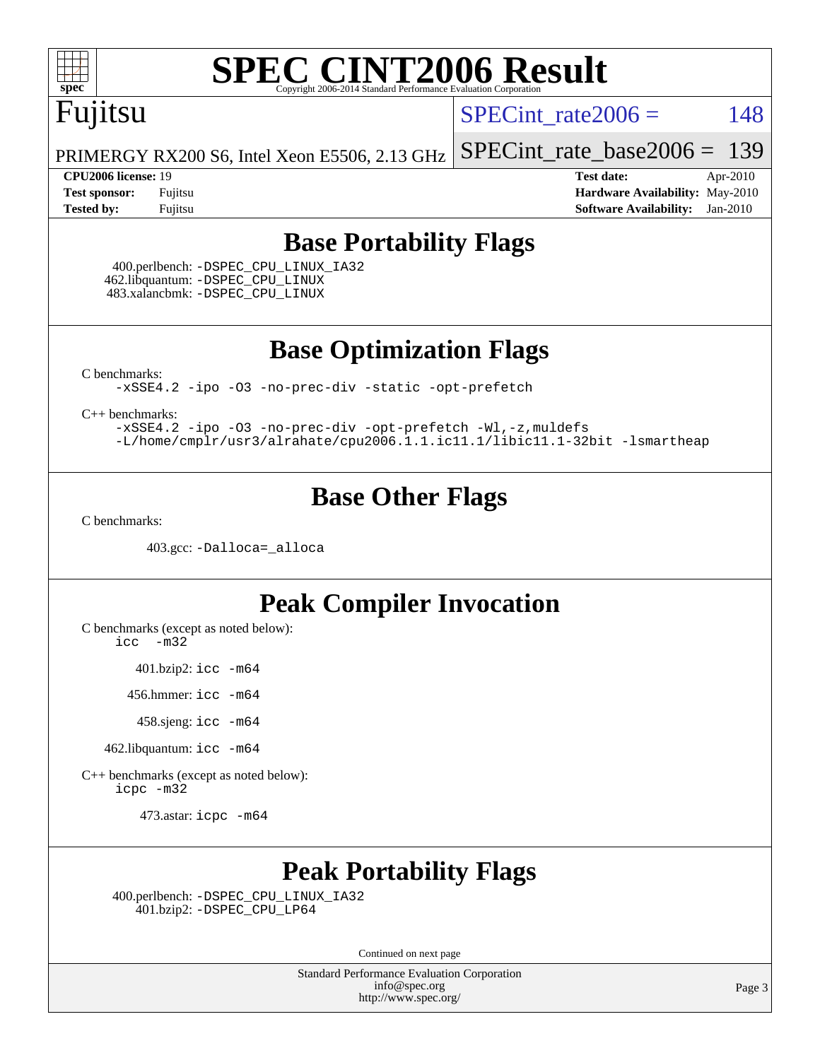

## Fujitsu

SPECint rate $2006 = 148$ 

[SPECint\\_rate\\_base2006 =](http://www.spec.org/auto/cpu2006/Docs/result-fields.html#SPECintratebase2006) 139

PRIMERGY RX200 S6, Intel Xeon E5506, 2.13 GHz

**[CPU2006 license:](http://www.spec.org/auto/cpu2006/Docs/result-fields.html#CPU2006license)** 19 **[Test date:](http://www.spec.org/auto/cpu2006/Docs/result-fields.html#Testdate)** Apr-2010 **[Test sponsor:](http://www.spec.org/auto/cpu2006/Docs/result-fields.html#Testsponsor)** Fujitsu **[Hardware Availability:](http://www.spec.org/auto/cpu2006/Docs/result-fields.html#HardwareAvailability)** May-2010 **[Tested by:](http://www.spec.org/auto/cpu2006/Docs/result-fields.html#Testedby)** Fujitsu **[Software Availability:](http://www.spec.org/auto/cpu2006/Docs/result-fields.html#SoftwareAvailability)** Jan-2010

#### **[Base Portability Flags](http://www.spec.org/auto/cpu2006/Docs/result-fields.html#BasePortabilityFlags)**

 400.perlbench: [-DSPEC\\_CPU\\_LINUX\\_IA32](http://www.spec.org/cpu2006/results/res2010q3/cpu2006-20100706-12334.flags.html#b400.perlbench_baseCPORTABILITY_DSPEC_CPU_LINUX_IA32) 462.libquantum: [-DSPEC\\_CPU\\_LINUX](http://www.spec.org/cpu2006/results/res2010q3/cpu2006-20100706-12334.flags.html#b462.libquantum_baseCPORTABILITY_DSPEC_CPU_LINUX) 483.xalancbmk: [-DSPEC\\_CPU\\_LINUX](http://www.spec.org/cpu2006/results/res2010q3/cpu2006-20100706-12334.flags.html#b483.xalancbmk_baseCXXPORTABILITY_DSPEC_CPU_LINUX)

**[Base Optimization Flags](http://www.spec.org/auto/cpu2006/Docs/result-fields.html#BaseOptimizationFlags)**

[C benchmarks](http://www.spec.org/auto/cpu2006/Docs/result-fields.html#Cbenchmarks):

[-xSSE4.2](http://www.spec.org/cpu2006/results/res2010q3/cpu2006-20100706-12334.flags.html#user_CCbase_f-xSSE42_f91528193cf0b216347adb8b939d4107) [-ipo](http://www.spec.org/cpu2006/results/res2010q3/cpu2006-20100706-12334.flags.html#user_CCbase_f-ipo) [-O3](http://www.spec.org/cpu2006/results/res2010q3/cpu2006-20100706-12334.flags.html#user_CCbase_f-O3) [-no-prec-div](http://www.spec.org/cpu2006/results/res2010q3/cpu2006-20100706-12334.flags.html#user_CCbase_f-no-prec-div) [-static](http://www.spec.org/cpu2006/results/res2010q3/cpu2006-20100706-12334.flags.html#user_CCbase_f-static) [-opt-prefetch](http://www.spec.org/cpu2006/results/res2010q3/cpu2006-20100706-12334.flags.html#user_CCbase_f-opt-prefetch)

[C++ benchmarks:](http://www.spec.org/auto/cpu2006/Docs/result-fields.html#CXXbenchmarks)

[-xSSE4.2](http://www.spec.org/cpu2006/results/res2010q3/cpu2006-20100706-12334.flags.html#user_CXXbase_f-xSSE42_f91528193cf0b216347adb8b939d4107) [-ipo](http://www.spec.org/cpu2006/results/res2010q3/cpu2006-20100706-12334.flags.html#user_CXXbase_f-ipo) [-O3](http://www.spec.org/cpu2006/results/res2010q3/cpu2006-20100706-12334.flags.html#user_CXXbase_f-O3) [-no-prec-div](http://www.spec.org/cpu2006/results/res2010q3/cpu2006-20100706-12334.flags.html#user_CXXbase_f-no-prec-div) [-opt-prefetch](http://www.spec.org/cpu2006/results/res2010q3/cpu2006-20100706-12334.flags.html#user_CXXbase_f-opt-prefetch) [-Wl,-z,muldefs](http://www.spec.org/cpu2006/results/res2010q3/cpu2006-20100706-12334.flags.html#user_CXXbase_link_force_multiple1_74079c344b956b9658436fd1b6dd3a8a) [-L/home/cmplr/usr3/alrahate/cpu2006.1.1.ic11.1/libic11.1-32bit -lsmartheap](http://www.spec.org/cpu2006/results/res2010q3/cpu2006-20100706-12334.flags.html#user_CXXbase_SmartHeap_d86dffe4a79b79ef8890d5cce17030c3)

#### **[Base Other Flags](http://www.spec.org/auto/cpu2006/Docs/result-fields.html#BaseOtherFlags)**

[C benchmarks](http://www.spec.org/auto/cpu2006/Docs/result-fields.html#Cbenchmarks):

403.gcc: [-Dalloca=\\_alloca](http://www.spec.org/cpu2006/results/res2010q3/cpu2006-20100706-12334.flags.html#b403.gcc_baseEXTRA_CFLAGS_Dalloca_be3056838c12de2578596ca5467af7f3)

#### **[Peak Compiler Invocation](http://www.spec.org/auto/cpu2006/Docs/result-fields.html#PeakCompilerInvocation)**

[C benchmarks \(except as noted below\)](http://www.spec.org/auto/cpu2006/Docs/result-fields.html#Cbenchmarksexceptasnotedbelow):

[icc -m32](http://www.spec.org/cpu2006/results/res2010q3/cpu2006-20100706-12334.flags.html#user_CCpeak_intel_icc_32bit_5ff4a39e364c98233615fdd38438c6f2)

401.bzip2: [icc -m64](http://www.spec.org/cpu2006/results/res2010q3/cpu2006-20100706-12334.flags.html#user_peakCCLD401_bzip2_intel_icc_64bit_bda6cc9af1fdbb0edc3795bac97ada53)

456.hmmer: [icc -m64](http://www.spec.org/cpu2006/results/res2010q3/cpu2006-20100706-12334.flags.html#user_peakCCLD456_hmmer_intel_icc_64bit_bda6cc9af1fdbb0edc3795bac97ada53)

458.sjeng: [icc -m64](http://www.spec.org/cpu2006/results/res2010q3/cpu2006-20100706-12334.flags.html#user_peakCCLD458_sjeng_intel_icc_64bit_bda6cc9af1fdbb0edc3795bac97ada53)

462.libquantum: [icc -m64](http://www.spec.org/cpu2006/results/res2010q3/cpu2006-20100706-12334.flags.html#user_peakCCLD462_libquantum_intel_icc_64bit_bda6cc9af1fdbb0edc3795bac97ada53)

[C++ benchmarks \(except as noted below\):](http://www.spec.org/auto/cpu2006/Docs/result-fields.html#CXXbenchmarksexceptasnotedbelow) [icpc -m32](http://www.spec.org/cpu2006/results/res2010q3/cpu2006-20100706-12334.flags.html#user_CXXpeak_intel_icpc_32bit_4e5a5ef1a53fd332b3c49e69c3330699)

473.astar: [icpc -m64](http://www.spec.org/cpu2006/results/res2010q3/cpu2006-20100706-12334.flags.html#user_peakCXXLD473_astar_intel_icpc_64bit_fc66a5337ce925472a5c54ad6a0de310)

#### **[Peak Portability Flags](http://www.spec.org/auto/cpu2006/Docs/result-fields.html#PeakPortabilityFlags)**

 400.perlbench: [-DSPEC\\_CPU\\_LINUX\\_IA32](http://www.spec.org/cpu2006/results/res2010q3/cpu2006-20100706-12334.flags.html#b400.perlbench_peakCPORTABILITY_DSPEC_CPU_LINUX_IA32) 401.bzip2: [-DSPEC\\_CPU\\_LP64](http://www.spec.org/cpu2006/results/res2010q3/cpu2006-20100706-12334.flags.html#suite_peakCPORTABILITY401_bzip2_DSPEC_CPU_LP64)

Continued on next page

Standard Performance Evaluation Corporation [info@spec.org](mailto:info@spec.org) <http://www.spec.org/>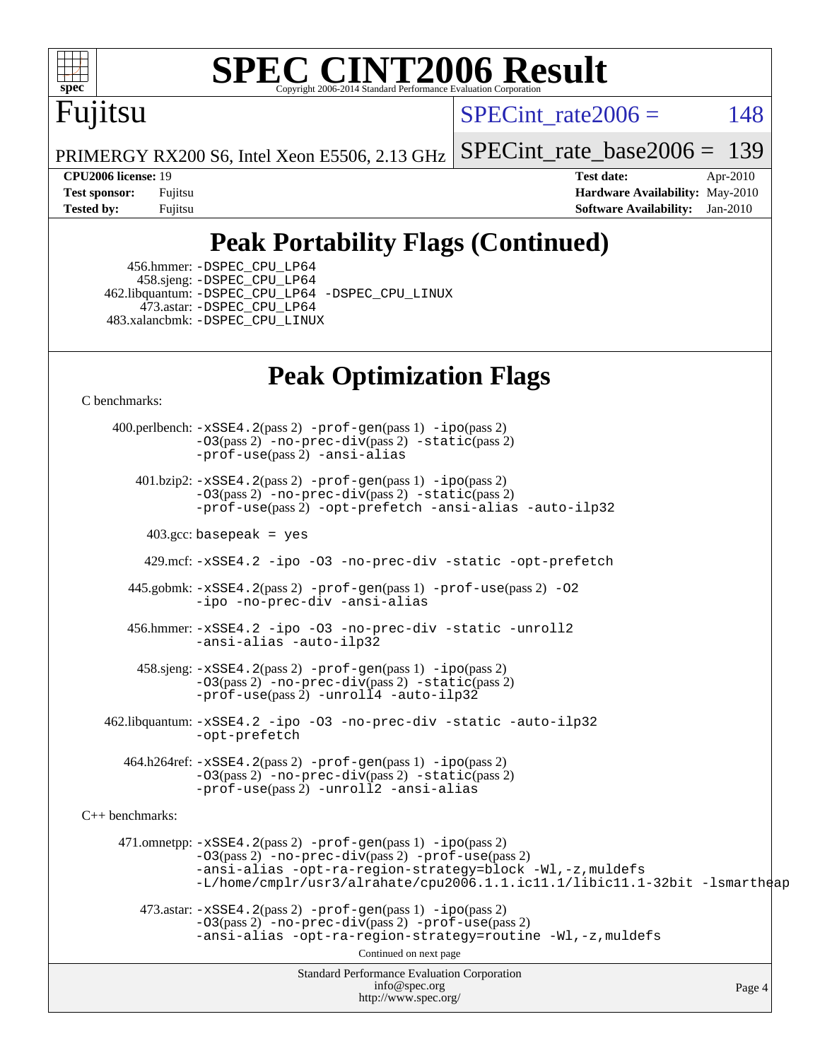

# Fujitsu

SPECint rate $2006 = 148$ 

PRIMERGY RX200 S6, Intel Xeon E5506, 2.13 GHz [SPECint\\_rate\\_base2006 =](http://www.spec.org/auto/cpu2006/Docs/result-fields.html#SPECintratebase2006) 139

**[CPU2006 license:](http://www.spec.org/auto/cpu2006/Docs/result-fields.html#CPU2006license)** 19 **[Test date:](http://www.spec.org/auto/cpu2006/Docs/result-fields.html#Testdate)** Apr-2010 **[Test sponsor:](http://www.spec.org/auto/cpu2006/Docs/result-fields.html#Testsponsor)** Fujitsu **[Hardware Availability:](http://www.spec.org/auto/cpu2006/Docs/result-fields.html#HardwareAvailability)** May-2010 **[Tested by:](http://www.spec.org/auto/cpu2006/Docs/result-fields.html#Testedby)** Fujitsu **[Software Availability:](http://www.spec.org/auto/cpu2006/Docs/result-fields.html#SoftwareAvailability)** Jan-2010

### **[Peak Portability Flags \(Continued\)](http://www.spec.org/auto/cpu2006/Docs/result-fields.html#PeakPortabilityFlags)**

 456.hmmer: [-DSPEC\\_CPU\\_LP64](http://www.spec.org/cpu2006/results/res2010q3/cpu2006-20100706-12334.flags.html#suite_peakCPORTABILITY456_hmmer_DSPEC_CPU_LP64) 458.sjeng: [-DSPEC\\_CPU\\_LP64](http://www.spec.org/cpu2006/results/res2010q3/cpu2006-20100706-12334.flags.html#suite_peakCPORTABILITY458_sjeng_DSPEC_CPU_LP64) 462.libquantum: [-DSPEC\\_CPU\\_LP64](http://www.spec.org/cpu2006/results/res2010q3/cpu2006-20100706-12334.flags.html#suite_peakCPORTABILITY462_libquantum_DSPEC_CPU_LP64) [-DSPEC\\_CPU\\_LINUX](http://www.spec.org/cpu2006/results/res2010q3/cpu2006-20100706-12334.flags.html#b462.libquantum_peakCPORTABILITY_DSPEC_CPU_LINUX) 473.astar: [-DSPEC\\_CPU\\_LP64](http://www.spec.org/cpu2006/results/res2010q3/cpu2006-20100706-12334.flags.html#suite_peakCXXPORTABILITY473_astar_DSPEC_CPU_LP64) 483.xalancbmk: [-DSPEC\\_CPU\\_LINUX](http://www.spec.org/cpu2006/results/res2010q3/cpu2006-20100706-12334.flags.html#b483.xalancbmk_peakCXXPORTABILITY_DSPEC_CPU_LINUX)

### **[Peak Optimization Flags](http://www.spec.org/auto/cpu2006/Docs/result-fields.html#PeakOptimizationFlags)**

[C benchmarks](http://www.spec.org/auto/cpu2006/Docs/result-fields.html#Cbenchmarks):

Standard Performance Evaluation Corporation [info@spec.org](mailto:info@spec.org) <http://www.spec.org/> Page 4 400.perlbench: [-xSSE4.2](http://www.spec.org/cpu2006/results/res2010q3/cpu2006-20100706-12334.flags.html#user_peakPASS2_CFLAGSPASS2_LDCFLAGS400_perlbench_f-xSSE42_f91528193cf0b216347adb8b939d4107)(pass 2) [-prof-gen](http://www.spec.org/cpu2006/results/res2010q3/cpu2006-20100706-12334.flags.html#user_peakPASS1_CFLAGSPASS1_LDCFLAGS400_perlbench_prof_gen_e43856698f6ca7b7e442dfd80e94a8fc)(pass 1) [-ipo](http://www.spec.org/cpu2006/results/res2010q3/cpu2006-20100706-12334.flags.html#user_peakPASS2_CFLAGSPASS2_LDCFLAGS400_perlbench_f-ipo)(pass 2)  $-03$ (pass 2)  $-$ no-prec-div(pass 2)  $-$ static(pass 2) [-prof-use](http://www.spec.org/cpu2006/results/res2010q3/cpu2006-20100706-12334.flags.html#user_peakPASS2_CFLAGSPASS2_LDCFLAGS400_perlbench_prof_use_bccf7792157ff70d64e32fe3e1250b55)(pass 2) [-ansi-alias](http://www.spec.org/cpu2006/results/res2010q3/cpu2006-20100706-12334.flags.html#user_peakCOPTIMIZE400_perlbench_f-ansi-alias) 401.bzip2: [-xSSE4.2](http://www.spec.org/cpu2006/results/res2010q3/cpu2006-20100706-12334.flags.html#user_peakPASS2_CFLAGSPASS2_LDCFLAGS401_bzip2_f-xSSE42_f91528193cf0b216347adb8b939d4107)(pass 2) [-prof-gen](http://www.spec.org/cpu2006/results/res2010q3/cpu2006-20100706-12334.flags.html#user_peakPASS1_CFLAGSPASS1_LDCFLAGS401_bzip2_prof_gen_e43856698f6ca7b7e442dfd80e94a8fc)(pass 1) [-ipo](http://www.spec.org/cpu2006/results/res2010q3/cpu2006-20100706-12334.flags.html#user_peakPASS2_CFLAGSPASS2_LDCFLAGS401_bzip2_f-ipo)(pass 2) [-O3](http://www.spec.org/cpu2006/results/res2010q3/cpu2006-20100706-12334.flags.html#user_peakPASS2_CFLAGSPASS2_LDCFLAGS401_bzip2_f-O3)(pass 2) [-no-prec-div](http://www.spec.org/cpu2006/results/res2010q3/cpu2006-20100706-12334.flags.html#user_peakPASS2_CFLAGSPASS2_LDCFLAGS401_bzip2_f-no-prec-div)(pass 2) [-static](http://www.spec.org/cpu2006/results/res2010q3/cpu2006-20100706-12334.flags.html#user_peakPASS2_CFLAGSPASS2_LDCFLAGS401_bzip2_f-static)(pass 2) [-prof-use](http://www.spec.org/cpu2006/results/res2010q3/cpu2006-20100706-12334.flags.html#user_peakPASS2_CFLAGSPASS2_LDCFLAGS401_bzip2_prof_use_bccf7792157ff70d64e32fe3e1250b55)(pass 2) [-opt-prefetch](http://www.spec.org/cpu2006/results/res2010q3/cpu2006-20100706-12334.flags.html#user_peakCOPTIMIZE401_bzip2_f-opt-prefetch) [-ansi-alias](http://www.spec.org/cpu2006/results/res2010q3/cpu2006-20100706-12334.flags.html#user_peakCOPTIMIZE401_bzip2_f-ansi-alias) [-auto-ilp32](http://www.spec.org/cpu2006/results/res2010q3/cpu2006-20100706-12334.flags.html#user_peakCOPTIMIZE401_bzip2_f-auto-ilp32)  $403.\text{gcc: basepeak}$  = yes 429.mcf: [-xSSE4.2](http://www.spec.org/cpu2006/results/res2010q3/cpu2006-20100706-12334.flags.html#user_peakCOPTIMIZE429_mcf_f-xSSE42_f91528193cf0b216347adb8b939d4107) [-ipo](http://www.spec.org/cpu2006/results/res2010q3/cpu2006-20100706-12334.flags.html#user_peakCOPTIMIZE429_mcf_f-ipo) [-O3](http://www.spec.org/cpu2006/results/res2010q3/cpu2006-20100706-12334.flags.html#user_peakCOPTIMIZE429_mcf_f-O3) [-no-prec-div](http://www.spec.org/cpu2006/results/res2010q3/cpu2006-20100706-12334.flags.html#user_peakCOPTIMIZE429_mcf_f-no-prec-div) [-static](http://www.spec.org/cpu2006/results/res2010q3/cpu2006-20100706-12334.flags.html#user_peakCOPTIMIZE429_mcf_f-static) [-opt-prefetch](http://www.spec.org/cpu2006/results/res2010q3/cpu2006-20100706-12334.flags.html#user_peakCOPTIMIZE429_mcf_f-opt-prefetch) 445.gobmk: [-xSSE4.2](http://www.spec.org/cpu2006/results/res2010q3/cpu2006-20100706-12334.flags.html#user_peakPASS2_CFLAGSPASS2_LDCFLAGS445_gobmk_f-xSSE42_f91528193cf0b216347adb8b939d4107)(pass 2) [-prof-gen](http://www.spec.org/cpu2006/results/res2010q3/cpu2006-20100706-12334.flags.html#user_peakPASS1_CFLAGSPASS1_LDCFLAGS445_gobmk_prof_gen_e43856698f6ca7b7e442dfd80e94a8fc)(pass 1) [-prof-use](http://www.spec.org/cpu2006/results/res2010q3/cpu2006-20100706-12334.flags.html#user_peakPASS2_CFLAGSPASS2_LDCFLAGS445_gobmk_prof_use_bccf7792157ff70d64e32fe3e1250b55)(pass 2) [-O2](http://www.spec.org/cpu2006/results/res2010q3/cpu2006-20100706-12334.flags.html#user_peakCOPTIMIZE445_gobmk_f-O2) [-ipo](http://www.spec.org/cpu2006/results/res2010q3/cpu2006-20100706-12334.flags.html#user_peakCOPTIMIZE445_gobmk_f-ipo) [-no-prec-div](http://www.spec.org/cpu2006/results/res2010q3/cpu2006-20100706-12334.flags.html#user_peakCOPTIMIZE445_gobmk_f-no-prec-div) [-ansi-alias](http://www.spec.org/cpu2006/results/res2010q3/cpu2006-20100706-12334.flags.html#user_peakCOPTIMIZE445_gobmk_f-ansi-alias) 456.hmmer: [-xSSE4.2](http://www.spec.org/cpu2006/results/res2010q3/cpu2006-20100706-12334.flags.html#user_peakCOPTIMIZE456_hmmer_f-xSSE42_f91528193cf0b216347adb8b939d4107) [-ipo](http://www.spec.org/cpu2006/results/res2010q3/cpu2006-20100706-12334.flags.html#user_peakCOPTIMIZE456_hmmer_f-ipo) [-O3](http://www.spec.org/cpu2006/results/res2010q3/cpu2006-20100706-12334.flags.html#user_peakCOPTIMIZE456_hmmer_f-O3) [-no-prec-div](http://www.spec.org/cpu2006/results/res2010q3/cpu2006-20100706-12334.flags.html#user_peakCOPTIMIZE456_hmmer_f-no-prec-div) [-static](http://www.spec.org/cpu2006/results/res2010q3/cpu2006-20100706-12334.flags.html#user_peakCOPTIMIZE456_hmmer_f-static) [-unroll2](http://www.spec.org/cpu2006/results/res2010q3/cpu2006-20100706-12334.flags.html#user_peakCOPTIMIZE456_hmmer_f-unroll_784dae83bebfb236979b41d2422d7ec2) [-ansi-alias](http://www.spec.org/cpu2006/results/res2010q3/cpu2006-20100706-12334.flags.html#user_peakCOPTIMIZE456_hmmer_f-ansi-alias) [-auto-ilp32](http://www.spec.org/cpu2006/results/res2010q3/cpu2006-20100706-12334.flags.html#user_peakCOPTIMIZE456_hmmer_f-auto-ilp32) 458.sjeng: [-xSSE4.2](http://www.spec.org/cpu2006/results/res2010q3/cpu2006-20100706-12334.flags.html#user_peakPASS2_CFLAGSPASS2_LDCFLAGS458_sjeng_f-xSSE42_f91528193cf0b216347adb8b939d4107)(pass 2) [-prof-gen](http://www.spec.org/cpu2006/results/res2010q3/cpu2006-20100706-12334.flags.html#user_peakPASS1_CFLAGSPASS1_LDCFLAGS458_sjeng_prof_gen_e43856698f6ca7b7e442dfd80e94a8fc)(pass 1) [-ipo](http://www.spec.org/cpu2006/results/res2010q3/cpu2006-20100706-12334.flags.html#user_peakPASS2_CFLAGSPASS2_LDCFLAGS458_sjeng_f-ipo)(pass 2) [-O3](http://www.spec.org/cpu2006/results/res2010q3/cpu2006-20100706-12334.flags.html#user_peakPASS2_CFLAGSPASS2_LDCFLAGS458_sjeng_f-O3)(pass 2) [-no-prec-div](http://www.spec.org/cpu2006/results/res2010q3/cpu2006-20100706-12334.flags.html#user_peakPASS2_CFLAGSPASS2_LDCFLAGS458_sjeng_f-no-prec-div)(pass 2) [-static](http://www.spec.org/cpu2006/results/res2010q3/cpu2006-20100706-12334.flags.html#user_peakPASS2_CFLAGSPASS2_LDCFLAGS458_sjeng_f-static)(pass 2) [-prof-use](http://www.spec.org/cpu2006/results/res2010q3/cpu2006-20100706-12334.flags.html#user_peakPASS2_CFLAGSPASS2_LDCFLAGS458_sjeng_prof_use_bccf7792157ff70d64e32fe3e1250b55)(pass 2) [-unroll4](http://www.spec.org/cpu2006/results/res2010q3/cpu2006-20100706-12334.flags.html#user_peakCOPTIMIZE458_sjeng_f-unroll_4e5e4ed65b7fd20bdcd365bec371b81f) [-auto-ilp32](http://www.spec.org/cpu2006/results/res2010q3/cpu2006-20100706-12334.flags.html#user_peakCOPTIMIZE458_sjeng_f-auto-ilp32) 462.libquantum: [-xSSE4.2](http://www.spec.org/cpu2006/results/res2010q3/cpu2006-20100706-12334.flags.html#user_peakCOPTIMIZE462_libquantum_f-xSSE42_f91528193cf0b216347adb8b939d4107) [-ipo](http://www.spec.org/cpu2006/results/res2010q3/cpu2006-20100706-12334.flags.html#user_peakCOPTIMIZE462_libquantum_f-ipo) [-O3](http://www.spec.org/cpu2006/results/res2010q3/cpu2006-20100706-12334.flags.html#user_peakCOPTIMIZE462_libquantum_f-O3) [-no-prec-div](http://www.spec.org/cpu2006/results/res2010q3/cpu2006-20100706-12334.flags.html#user_peakCOPTIMIZE462_libquantum_f-no-prec-div) [-static](http://www.spec.org/cpu2006/results/res2010q3/cpu2006-20100706-12334.flags.html#user_peakCOPTIMIZE462_libquantum_f-static) [-auto-ilp32](http://www.spec.org/cpu2006/results/res2010q3/cpu2006-20100706-12334.flags.html#user_peakCOPTIMIZE462_libquantum_f-auto-ilp32) [-opt-prefetch](http://www.spec.org/cpu2006/results/res2010q3/cpu2006-20100706-12334.flags.html#user_peakCOPTIMIZE462_libquantum_f-opt-prefetch) 464.h264ref: [-xSSE4.2](http://www.spec.org/cpu2006/results/res2010q3/cpu2006-20100706-12334.flags.html#user_peakPASS2_CFLAGSPASS2_LDCFLAGS464_h264ref_f-xSSE42_f91528193cf0b216347adb8b939d4107)(pass 2) [-prof-gen](http://www.spec.org/cpu2006/results/res2010q3/cpu2006-20100706-12334.flags.html#user_peakPASS1_CFLAGSPASS1_LDCFLAGS464_h264ref_prof_gen_e43856698f6ca7b7e442dfd80e94a8fc)(pass 1) [-ipo](http://www.spec.org/cpu2006/results/res2010q3/cpu2006-20100706-12334.flags.html#user_peakPASS2_CFLAGSPASS2_LDCFLAGS464_h264ref_f-ipo)(pass 2) [-O3](http://www.spec.org/cpu2006/results/res2010q3/cpu2006-20100706-12334.flags.html#user_peakPASS2_CFLAGSPASS2_LDCFLAGS464_h264ref_f-O3)(pass 2) [-no-prec-div](http://www.spec.org/cpu2006/results/res2010q3/cpu2006-20100706-12334.flags.html#user_peakPASS2_CFLAGSPASS2_LDCFLAGS464_h264ref_f-no-prec-div)(pass 2) [-static](http://www.spec.org/cpu2006/results/res2010q3/cpu2006-20100706-12334.flags.html#user_peakPASS2_CFLAGSPASS2_LDCFLAGS464_h264ref_f-static)(pass 2) [-prof-use](http://www.spec.org/cpu2006/results/res2010q3/cpu2006-20100706-12334.flags.html#user_peakPASS2_CFLAGSPASS2_LDCFLAGS464_h264ref_prof_use_bccf7792157ff70d64e32fe3e1250b55)(pass 2) [-unroll2](http://www.spec.org/cpu2006/results/res2010q3/cpu2006-20100706-12334.flags.html#user_peakCOPTIMIZE464_h264ref_f-unroll_784dae83bebfb236979b41d2422d7ec2) [-ansi-alias](http://www.spec.org/cpu2006/results/res2010q3/cpu2006-20100706-12334.flags.html#user_peakCOPTIMIZE464_h264ref_f-ansi-alias) [C++ benchmarks:](http://www.spec.org/auto/cpu2006/Docs/result-fields.html#CXXbenchmarks) 471.omnetpp: [-xSSE4.2](http://www.spec.org/cpu2006/results/res2010q3/cpu2006-20100706-12334.flags.html#user_peakPASS2_CXXFLAGSPASS2_LDCXXFLAGS471_omnetpp_f-xSSE42_f91528193cf0b216347adb8b939d4107)(pass 2) [-prof-gen](http://www.spec.org/cpu2006/results/res2010q3/cpu2006-20100706-12334.flags.html#user_peakPASS1_CXXFLAGSPASS1_LDCXXFLAGS471_omnetpp_prof_gen_e43856698f6ca7b7e442dfd80e94a8fc)(pass 1) [-ipo](http://www.spec.org/cpu2006/results/res2010q3/cpu2006-20100706-12334.flags.html#user_peakPASS2_CXXFLAGSPASS2_LDCXXFLAGS471_omnetpp_f-ipo)(pass 2) [-O3](http://www.spec.org/cpu2006/results/res2010q3/cpu2006-20100706-12334.flags.html#user_peakPASS2_CXXFLAGSPASS2_LDCXXFLAGS471_omnetpp_f-O3)(pass 2) [-no-prec-div](http://www.spec.org/cpu2006/results/res2010q3/cpu2006-20100706-12334.flags.html#user_peakPASS2_CXXFLAGSPASS2_LDCXXFLAGS471_omnetpp_f-no-prec-div)(pass 2) [-prof-use](http://www.spec.org/cpu2006/results/res2010q3/cpu2006-20100706-12334.flags.html#user_peakPASS2_CXXFLAGSPASS2_LDCXXFLAGS471_omnetpp_prof_use_bccf7792157ff70d64e32fe3e1250b55)(pass 2) [-ansi-alias](http://www.spec.org/cpu2006/results/res2010q3/cpu2006-20100706-12334.flags.html#user_peakCXXOPTIMIZE471_omnetpp_f-ansi-alias) [-opt-ra-region-strategy=block](http://www.spec.org/cpu2006/results/res2010q3/cpu2006-20100706-12334.flags.html#user_peakCXXOPTIMIZE471_omnetpp_f-opt-ra-region-strategy-block_a0a37c372d03933b2a18d4af463c1f69) [-Wl,-z,muldefs](http://www.spec.org/cpu2006/results/res2010q3/cpu2006-20100706-12334.flags.html#user_peakEXTRA_LDFLAGS471_omnetpp_link_force_multiple1_74079c344b956b9658436fd1b6dd3a8a) [-L/home/cmplr/usr3/alrahate/cpu2006.1.1.ic11.1/libic11.1-32bit -lsmartheap](http://www.spec.org/cpu2006/results/res2010q3/cpu2006-20100706-12334.flags.html#user_peakEXTRA_LIBS471_omnetpp_SmartHeap_d86dffe4a79b79ef8890d5cce17030c3)  $473.\text{astar: } -xSSE4$ .  $2(\text{pass 2})$   $-\text{prof-gen}(\text{pass 1})$   $-i\text{po}(\text{pass 2})$ [-O3](http://www.spec.org/cpu2006/results/res2010q3/cpu2006-20100706-12334.flags.html#user_peakPASS2_CXXFLAGSPASS2_LDCXXFLAGS473_astar_f-O3)(pass 2) [-no-prec-div](http://www.spec.org/cpu2006/results/res2010q3/cpu2006-20100706-12334.flags.html#user_peakPASS2_CXXFLAGSPASS2_LDCXXFLAGS473_astar_f-no-prec-div)(pass 2) [-prof-use](http://www.spec.org/cpu2006/results/res2010q3/cpu2006-20100706-12334.flags.html#user_peakPASS2_CXXFLAGSPASS2_LDCXXFLAGS473_astar_prof_use_bccf7792157ff70d64e32fe3e1250b55)(pass 2) [-ansi-alias](http://www.spec.org/cpu2006/results/res2010q3/cpu2006-20100706-12334.flags.html#user_peakCXXOPTIMIZE473_astar_f-ansi-alias) [-opt-ra-region-strategy=routine](http://www.spec.org/cpu2006/results/res2010q3/cpu2006-20100706-12334.flags.html#user_peakCXXOPTIMIZE473_astar_f-opt-ra-region-strategy-routine_ba086ea3b1d46a52e1238e2ca173ed44) [-Wl,-z,muldefs](http://www.spec.org/cpu2006/results/res2010q3/cpu2006-20100706-12334.flags.html#user_peakEXTRA_LDFLAGS473_astar_link_force_multiple1_74079c344b956b9658436fd1b6dd3a8a) Continued on next page